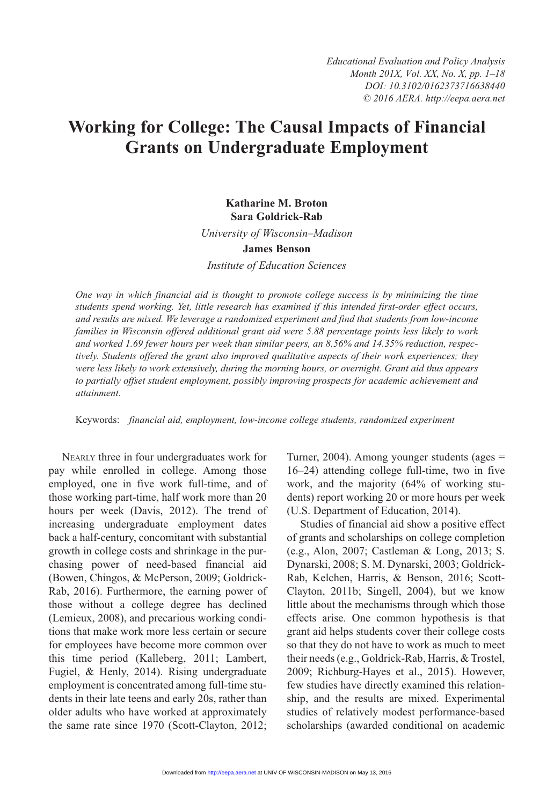# **Working for College: The Causal Impacts of Financial Grants on Undergraduate Employment**

# **Katharine M. Broton Sara Goldrick-Rab**

*University of Wisconsin–Madison*

#### **James Benson**

*Institute of Education Sciences*

*One way in which financial aid is thought to promote college success is by minimizing the time students spend working. Yet, little research has examined if this intended first-order effect occurs, and results are mixed. We leverage a randomized experiment and find that students from low-income families in Wisconsin offered additional grant aid were 5.88 percentage points less likely to work and worked 1.69 fewer hours per week than similar peers, an 8.56% and 14.35% reduction, respectively. Students offered the grant also improved qualitative aspects of their work experiences; they were less likely to work extensively, during the morning hours, or overnight. Grant aid thus appears to partially offset student employment, possibly improving prospects for academic achievement and attainment.*

Keywords: *financial aid, employment, low-income college students, randomized experiment*

Nearly three in four undergraduates work for pay while enrolled in college. Among those employed, one in five work full-time, and of those working part-time, half work more than 20 hours per week (Davis, 2012). The trend of increasing undergraduate employment dates back a half-century, concomitant with substantial growth in college costs and shrinkage in the purchasing power of need-based financial aid (Bowen, Chingos, & McPerson, 2009; Goldrick-Rab, 2016). Furthermore, the earning power of those without a college degree has declined (Lemieux, 2008), and precarious working conditions that make work more less certain or secure for employees have become more common over this time period (Kalleberg, 2011; Lambert, Fugiel, & Henly, 2014). Rising undergraduate employment is concentrated among full-time students in their late teens and early 20s, rather than older adults who have worked at approximately the same rate since 1970 (Scott-Clayton, 2012;

Turner, 2004). Among younger students (ages = 16–24) attending college full-time, two in five work, and the majority (64% of working students) report working 20 or more hours per week (U.S. Department of Education, 2014).

Studies of financial aid show a positive effect of grants and scholarships on college completion (e.g., Alon, 2007; Castleman & Long, 2013; S. Dynarski, 2008; S. M. Dynarski, 2003; Goldrick-Rab, Kelchen, Harris, & Benson, 2016; Scott-Clayton, 2011b; Singell, 2004), but we know little about the mechanisms through which those effects arise. One common hypothesis is that grant aid helps students cover their college costs so that they do not have to work as much to meet their needs (e.g., Goldrick-Rab, Harris, & Trostel, 2009; Richburg-Hayes et al., 2015). However, few studies have directly examined this relationship, and the results are mixed. Experimental studies of relatively modest performance-based scholarships (awarded conditional on academic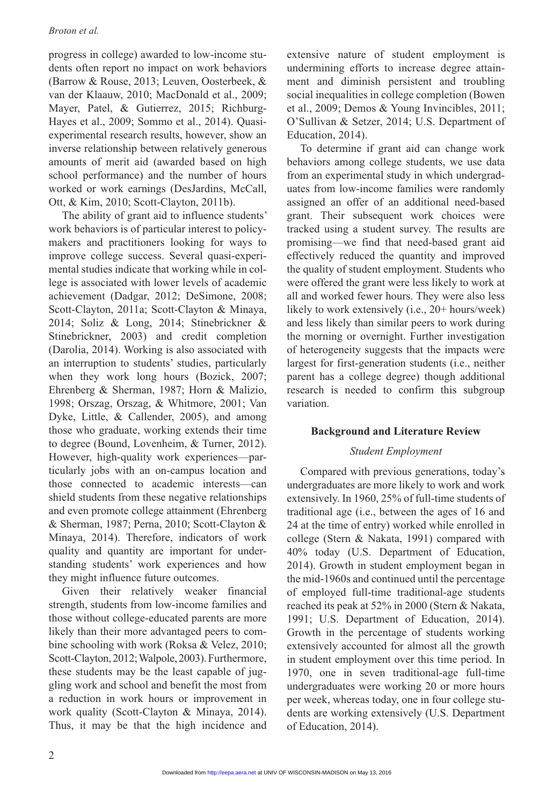progress in college) awarded to low-income students often report no impact on work behaviors (Barrow & Rouse, 2013; Leuven, Oosterbeek, & van der Klaauw, 2010; MacDonald et al., 2009; Mayer, Patel, & Gutierrez, 2015; Richburg-Hayes et al., 2009; Sommo et al., 2014). Quasiexperimental research results, however, show an inverse relationship between relatively generous amounts of merit aid (awarded based on high school performance) and the number of hours worked or work earnings (DesJardins, McCall, Ott, & Kim, 2010; Scott-Clayton, 2011b).

The ability of grant aid to influence students' work behaviors is of particular interest to policymakers and practitioners looking for ways to improve college success. Several quasi-experimental studies indicate that working while in college is associated with lower levels of academic achievement (Dadgar, 2012; DeSimone, 2008; Scott-Clayton, 2011a; Scott-Clayton & Minaya, 2014; Soliz & Long, 2014; Stinebrickner & Stinebrickner, 2003) and credit completion (Darolia, 2014). Working is also associated with an interruption to students' studies, particularly when they work long hours (Bozick, 2007; Ehrenberg & Sherman, 1987; Horn & Malizio, 1998; Orszag, Orszag, & Whitmore, 2001; Van Dyke, Little, & Callender, 2005), and among those who graduate, working extends their time to degree (Bound, Lovenheim, & Turner, 2012). However, high-quality work experiences—particularly jobs with an on-campus location and those connected to academic interests—can shield students from these negative relationships and even promote college attainment (Ehrenberg & Sherman, 1987; Perna, 2010; Scott-Clayton & Minaya, 2014). Therefore, indicators of work quality and quantity are important for understanding students' work experiences and how they might influence future outcomes.

Given their relatively weaker financial strength, students from low-income families and those without college-educated parents are more likely than their more advantaged peers to combine schooling with work (Roksa & Velez, 2010; Scott-Clayton, 2012; Walpole, 2003). Furthermore, these students may be the least capable of juggling work and school and benefit the most from a reduction in work hours or improvement in work quality (Scott-Clayton & Minaya, 2014). Thus, it may be that the high incidence and

extensive nature of student employment is undermining efforts to increase degree attainment and diminish persistent and troubling social inequalities in college completion (Bowen et al., 2009; Demos & Young Invincibles, 2011; O'Sullivan & Setzer, 2014; U.S. Department of Education, 2014).

To determine if grant aid can change work behaviors among college students, we use data from an experimental study in which undergraduates from low-income families were randomly assigned an offer of an additional need-based grant. Their subsequent work choices were tracked using a student survey. The results are promising—we find that need-based grant aid effectively reduced the quantity and improved the quality of student employment. Students who were offered the grant were less likely to work at all and worked fewer hours. They were also less likely to work extensively (i.e., 20+ hours/week) and less likely than similar peers to work during the morning or overnight. Further investigation of heterogeneity suggests that the impacts were largest for first-generation students (i.e., neither parent has a college degree) though additional research is needed to confirm this subgroup variation.

# **Background and Literature Review**

# *Student Employment*

Compared with previous generations, today's undergraduates are more likely to work and work extensively. In 1960, 25% of full-time students of traditional age (i.e., between the ages of 16 and 24 at the time of entry) worked while enrolled in college (Stern & Nakata, 1991) compared with 40% today (U.S. Department of Education, 2014). Growth in student employment began in the mid-1960s and continued until the percentage of employed full-time traditional-age students reached its peak at 52% in 2000 (Stern & Nakata, 1991; U.S. Department of Education, 2014). Growth in the percentage of students working extensively accounted for almost all the growth in student employment over this time period. In 1970, one in seven traditional-age full-time undergraduates were working 20 or more hours per week, whereas today, one in four college students are working extensively (U.S. Department of Education, 2014).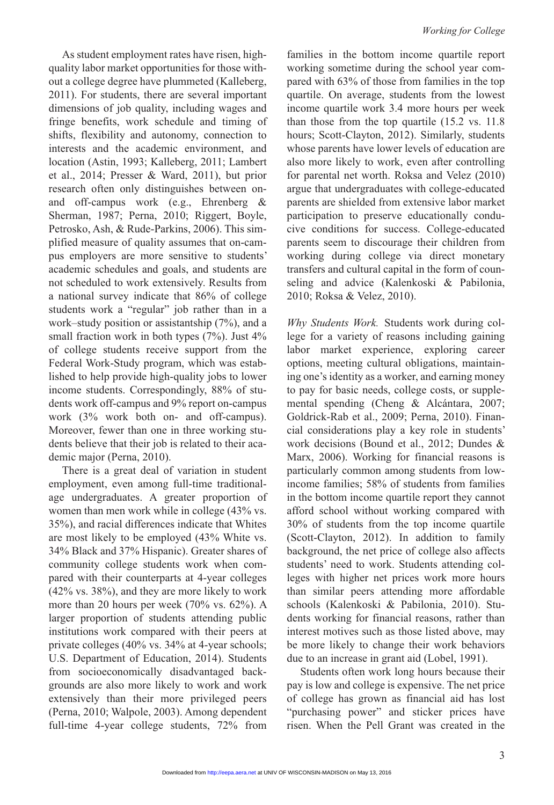As student employment rates have risen, highquality labor market opportunities for those without a college degree have plummeted (Kalleberg, 2011). For students, there are several important dimensions of job quality, including wages and fringe benefits, work schedule and timing of shifts, flexibility and autonomy, connection to interests and the academic environment, and location (Astin, 1993; Kalleberg, 2011; Lambert et al., 2014; Presser & Ward, 2011), but prior research often only distinguishes between onand off-campus work (e.g., Ehrenberg & Sherman, 1987; Perna, 2010; Riggert, Boyle, Petrosko, Ash, & Rude-Parkins, 2006). This simplified measure of quality assumes that on-campus employers are more sensitive to students' academic schedules and goals, and students are not scheduled to work extensively. Results from a national survey indicate that 86% of college students work a "regular" job rather than in a work–study position or assistantship (7%), and a small fraction work in both types (7%). Just 4% of college students receive support from the Federal Work-Study program, which was established to help provide high-quality jobs to lower income students. Correspondingly, 88% of students work off-campus and 9% report on-campus work (3% work both on- and off-campus). Moreover, fewer than one in three working students believe that their job is related to their academic major (Perna, 2010).

There is a great deal of variation in student employment, even among full-time traditionalage undergraduates. A greater proportion of women than men work while in college (43% vs. 35%), and racial differences indicate that Whites are most likely to be employed (43% White vs. 34% Black and 37% Hispanic). Greater shares of community college students work when compared with their counterparts at 4-year colleges (42% vs. 38%), and they are more likely to work more than 20 hours per week (70% vs. 62%). A larger proportion of students attending public institutions work compared with their peers at private colleges (40% vs. 34% at 4-year schools; U.S. Department of Education, 2014). Students from socioeconomically disadvantaged backgrounds are also more likely to work and work extensively than their more privileged peers (Perna, 2010; Walpole, 2003). Among dependent full-time 4-year college students, 72% from

families in the bottom income quartile report working sometime during the school year compared with 63% of those from families in the top quartile. On average, students from the lowest income quartile work 3.4 more hours per week than those from the top quartile (15.2 vs. 11.8 hours; Scott-Clayton, 2012). Similarly, students whose parents have lower levels of education are also more likely to work, even after controlling for parental net worth. Roksa and Velez (2010) argue that undergraduates with college-educated parents are shielded from extensive labor market participation to preserve educationally conducive conditions for success. College-educated parents seem to discourage their children from working during college via direct monetary transfers and cultural capital in the form of counseling and advice (Kalenkoski & Pabilonia, 2010; Roksa & Velez, 2010).

*Why Students Work.* Students work during college for a variety of reasons including gaining labor market experience, exploring career options, meeting cultural obligations, maintaining one's identity as a worker, and earning money to pay for basic needs, college costs, or supplemental spending (Cheng & Alcántara, 2007; Goldrick-Rab et al., 2009; Perna, 2010). Financial considerations play a key role in students' work decisions (Bound et al., 2012; Dundes & Marx, 2006). Working for financial reasons is particularly common among students from lowincome families; 58% of students from families in the bottom income quartile report they cannot afford school without working compared with 30% of students from the top income quartile (Scott-Clayton, 2012). In addition to family background, the net price of college also affects students' need to work. Students attending colleges with higher net prices work more hours than similar peers attending more affordable schools (Kalenkoski & Pabilonia, 2010). Students working for financial reasons, rather than interest motives such as those listed above, may be more likely to change their work behaviors due to an increase in grant aid (Lobel, 1991).

Students often work long hours because their pay is low and college is expensive. The net price of college has grown as financial aid has lost "purchasing power" and sticker prices have risen. When the Pell Grant was created in the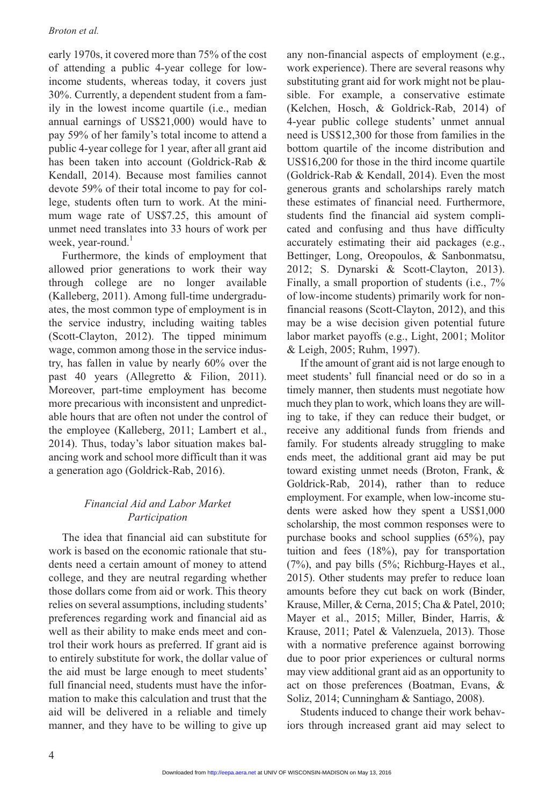### *Broton et al.*

early 1970s, it covered more than 75% of the cost of attending a public 4-year college for lowincome students, whereas today, it covers just 30%. Currently, a dependent student from a family in the lowest income quartile (i.e., median annual earnings of US\$21,000) would have to pay 59% of her family's total income to attend a public 4-year college for 1 year, after all grant aid has been taken into account (Goldrick-Rab & Kendall, 2014). Because most families cannot devote 59% of their total income to pay for college, students often turn to work. At the minimum wage rate of US\$7.25, this amount of unmet need translates into 33 hours of work per week, year-round. $<sup>1</sup>$ </sup>

Furthermore, the kinds of employment that allowed prior generations to work their way through college are no longer available (Kalleberg, 2011). Among full-time undergraduates, the most common type of employment is in the service industry, including waiting tables (Scott-Clayton, 2012). The tipped minimum wage, common among those in the service industry, has fallen in value by nearly 60% over the past 40 years (Allegretto & Filion, 2011). Moreover, part-time employment has become more precarious with inconsistent and unpredictable hours that are often not under the control of the employee (Kalleberg, 2011; Lambert et al., 2014). Thus, today's labor situation makes balancing work and school more difficult than it was a generation ago (Goldrick-Rab, 2016).

# *Financial Aid and Labor Market Participation*

The idea that financial aid can substitute for work is based on the economic rationale that students need a certain amount of money to attend college, and they are neutral regarding whether those dollars come from aid or work. This theory relies on several assumptions, including students' preferences regarding work and financial aid as well as their ability to make ends meet and control their work hours as preferred. If grant aid is to entirely substitute for work, the dollar value of the aid must be large enough to meet students' full financial need, students must have the information to make this calculation and trust that the aid will be delivered in a reliable and timely manner, and they have to be willing to give up

any non-financial aspects of employment (e.g., work experience). There are several reasons why substituting grant aid for work might not be plausible. For example, a conservative estimate (Kelchen, Hosch, & Goldrick-Rab, 2014) of 4-year public college students' unmet annual need is US\$12,300 for those from families in the bottom quartile of the income distribution and US\$16,200 for those in the third income quartile (Goldrick-Rab & Kendall, 2014). Even the most generous grants and scholarships rarely match these estimates of financial need. Furthermore, students find the financial aid system complicated and confusing and thus have difficulty accurately estimating their aid packages (e.g., Bettinger, Long, Oreopoulos, & Sanbonmatsu, 2012; S. Dynarski & Scott-Clayton, 2013). Finally, a small proportion of students (i.e., 7% of low-income students) primarily work for nonfinancial reasons (Scott-Clayton, 2012), and this may be a wise decision given potential future labor market payoffs (e.g., Light, 2001; Molitor & Leigh, 2005; Ruhm, 1997).

If the amount of grant aid is not large enough to meet students' full financial need or do so in a timely manner, then students must negotiate how much they plan to work, which loans they are willing to take, if they can reduce their budget, or receive any additional funds from friends and family. For students already struggling to make ends meet, the additional grant aid may be put toward existing unmet needs (Broton, Frank, & Goldrick-Rab, 2014), rather than to reduce employment. For example, when low-income students were asked how they spent a US\$1,000 scholarship, the most common responses were to purchase books and school supplies (65%), pay tuition and fees (18%), pay for transportation (7%), and pay bills (5%; Richburg-Hayes et al., 2015). Other students may prefer to reduce loan amounts before they cut back on work (Binder, Krause, Miller, & Cerna, 2015; Cha & Patel, 2010; Mayer et al., 2015; Miller, Binder, Harris, & Krause, 2011; Patel & Valenzuela, 2013). Those with a normative preference against borrowing due to poor prior experiences or cultural norms may view additional grant aid as an opportunity to act on those preferences (Boatman, Evans, & Soliz, 2014; Cunningham & Santiago, 2008).

Students induced to change their work behaviors through increased grant aid may select to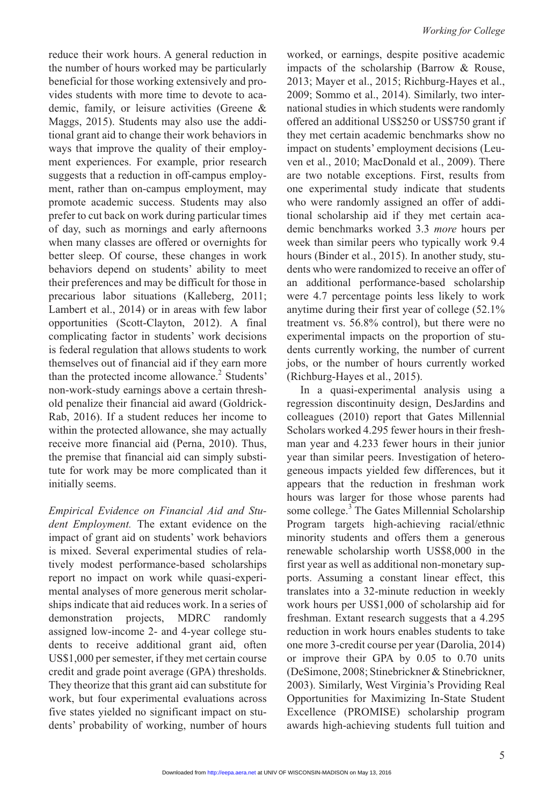reduce their work hours. A general reduction in the number of hours worked may be particularly beneficial for those working extensively and provides students with more time to devote to academic, family, or leisure activities (Greene & Maggs, 2015). Students may also use the additional grant aid to change their work behaviors in ways that improve the quality of their employment experiences. For example, prior research suggests that a reduction in off-campus employment, rather than on-campus employment, may promote academic success. Students may also prefer to cut back on work during particular times of day, such as mornings and early afternoons when many classes are offered or overnights for better sleep. Of course, these changes in work behaviors depend on students' ability to meet their preferences and may be difficult for those in precarious labor situations (Kalleberg, 2011; Lambert et al., 2014) or in areas with few labor opportunities (Scott-Clayton, 2012). A final complicating factor in students' work decisions is federal regulation that allows students to work themselves out of financial aid if they earn more than the protected income allowance.<sup>2</sup> Students' non-work-study earnings above a certain threshold penalize their financial aid award (Goldrick-Rab, 2016). If a student reduces her income to within the protected allowance, she may actually receive more financial aid (Perna, 2010). Thus, the premise that financial aid can simply substitute for work may be more complicated than it initially seems.

*Empirical Evidence on Financial Aid and Student Employment.* The extant evidence on the impact of grant aid on students' work behaviors is mixed. Several experimental studies of relatively modest performance-based scholarships report no impact on work while quasi-experimental analyses of more generous merit scholarships indicate that aid reduces work. In a series of demonstration projects, MDRC randomly assigned low-income 2- and 4-year college students to receive additional grant aid, often US\$1,000 per semester, if they met certain course credit and grade point average (GPA) thresholds. They theorize that this grant aid can substitute for work, but four experimental evaluations across five states yielded no significant impact on students' probability of working, number of hours

worked, or earnings, despite positive academic impacts of the scholarship (Barrow & Rouse, 2013; Mayer et al., 2015; Richburg-Hayes et al., 2009; Sommo et al., 2014). Similarly, two international studies in which students were randomly offered an additional US\$250 or US\$750 grant if they met certain academic benchmarks show no impact on students' employment decisions (Leuven et al., 2010; MacDonald et al., 2009). There are two notable exceptions. First, results from one experimental study indicate that students who were randomly assigned an offer of additional scholarship aid if they met certain academic benchmarks worked 3.3 *more* hours per week than similar peers who typically work 9.4 hours (Binder et al., 2015). In another study, students who were randomized to receive an offer of an additional performance-based scholarship were 4.7 percentage points less likely to work anytime during their first year of college (52.1% treatment vs. 56.8% control), but there were no experimental impacts on the proportion of students currently working, the number of current jobs, or the number of hours currently worked (Richburg-Hayes et al., 2015).

In a quasi-experimental analysis using a regression discontinuity design, DesJardins and colleagues (2010) report that Gates Millennial Scholars worked 4.295 fewer hours in their freshman year and 4.233 fewer hours in their junior year than similar peers. Investigation of heterogeneous impacts yielded few differences, but it appears that the reduction in freshman work hours was larger for those whose parents had some college.<sup>3</sup> The Gates Millennial Scholarship Program targets high-achieving racial/ethnic minority students and offers them a generous renewable scholarship worth US\$8,000 in the first year as well as additional non-monetary supports. Assuming a constant linear effect, this translates into a 32-minute reduction in weekly work hours per US\$1,000 of scholarship aid for freshman. Extant research suggests that a 4.295 reduction in work hours enables students to take one more 3-credit course per year (Darolia, 2014) or improve their GPA by 0.05 to 0.70 units (DeSimone, 2008; Stinebrickner & Stinebrickner, 2003). Similarly, West Virginia's Providing Real Opportunities for Maximizing In-State Student Excellence (PROMISE) scholarship program awards high-achieving students full tuition and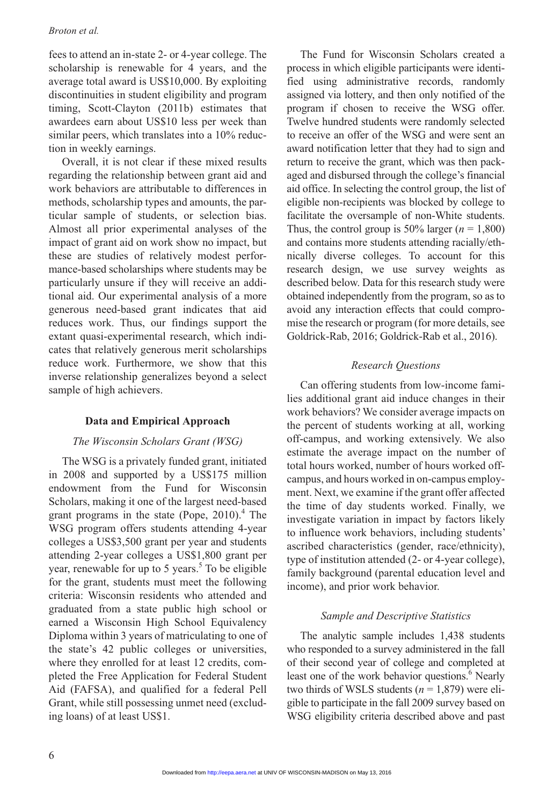### *Broton et al.*

fees to attend an in-state 2- or 4-year college. The scholarship is renewable for 4 years, and the average total award is US\$10,000. By exploiting discontinuities in student eligibility and program timing, Scott-Clayton (2011b) estimates that awardees earn about US\$10 less per week than similar peers, which translates into a 10% reduction in weekly earnings.

Overall, it is not clear if these mixed results regarding the relationship between grant aid and work behaviors are attributable to differences in methods, scholarship types and amounts, the particular sample of students, or selection bias. Almost all prior experimental analyses of the impact of grant aid on work show no impact, but these are studies of relatively modest performance-based scholarships where students may be particularly unsure if they will receive an additional aid. Our experimental analysis of a more generous need-based grant indicates that aid reduces work. Thus, our findings support the extant quasi-experimental research, which indicates that relatively generous merit scholarships reduce work. Furthermore, we show that this inverse relationship generalizes beyond a select sample of high achievers.

# **Data and Empirical Approach**

# *The Wisconsin Scholars Grant (WSG)*

The WSG is a privately funded grant, initiated in 2008 and supported by a US\$175 million endowment from the Fund for Wisconsin Scholars, making it one of the largest need-based grant programs in the state (Pope,  $2010$ ).<sup>4</sup> The WSG program offers students attending 4-year colleges a US\$3,500 grant per year and students attending 2-year colleges a US\$1,800 grant per year, renewable for up to 5 years.<sup>5</sup> To be eligible for the grant, students must meet the following criteria: Wisconsin residents who attended and graduated from a state public high school or earned a Wisconsin High School Equivalency Diploma within 3 years of matriculating to one of the state's 42 public colleges or universities, where they enrolled for at least 12 credits, completed the Free Application for Federal Student Aid (FAFSA), and qualified for a federal Pell Grant, while still possessing unmet need (excluding loans) of at least US\$1.

The Fund for Wisconsin Scholars created a process in which eligible participants were identified using administrative records, randomly assigned via lottery, and then only notified of the program if chosen to receive the WSG offer. Twelve hundred students were randomly selected to receive an offer of the WSG and were sent an award notification letter that they had to sign and return to receive the grant, which was then packaged and disbursed through the college's financial aid office. In selecting the control group, the list of eligible non-recipients was blocked by college to facilitate the oversample of non-White students. Thus, the control group is 50% larger  $(n = 1,800)$ and contains more students attending racially/ethnically diverse colleges. To account for this research design, we use survey weights as described below. Data for this research study were obtained independently from the program, so as to avoid any interaction effects that could compromise the research or program (for more details, see Goldrick-Rab, 2016; Goldrick-Rab et al., 2016).

# *Research Questions*

Can offering students from low-income families additional grant aid induce changes in their work behaviors? We consider average impacts on the percent of students working at all, working off-campus, and working extensively. We also estimate the average impact on the number of total hours worked, number of hours worked offcampus, and hours worked in on-campus employment. Next, we examine if the grant offer affected the time of day students worked. Finally, we investigate variation in impact by factors likely to influence work behaviors, including students' ascribed characteristics (gender, race/ethnicity), type of institution attended (2- or 4-year college), family background (parental education level and income), and prior work behavior.

# *Sample and Descriptive Statistics*

The analytic sample includes 1,438 students who responded to a survey administered in the fall of their second year of college and completed at least one of the work behavior questions.<sup>6</sup> Nearly two thirds of WSLS students  $(n = 1,879)$  were eligible to participate in the fall 2009 survey based on WSG eligibility criteria described above and past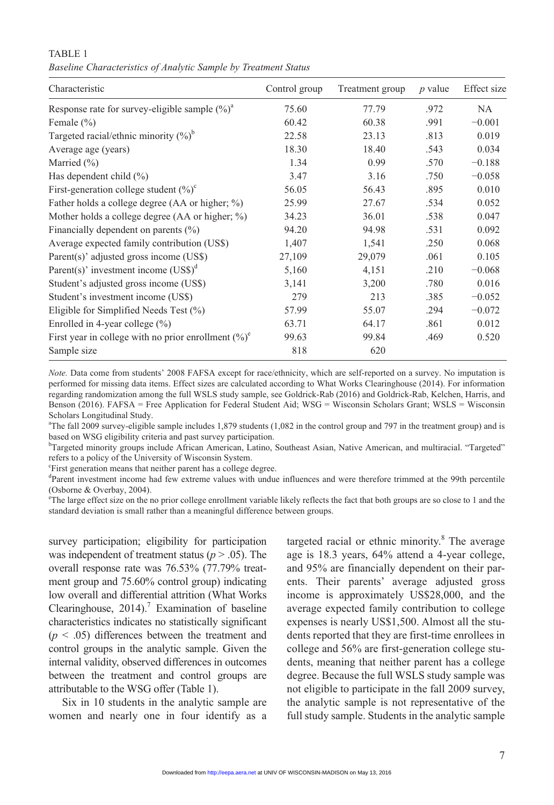TABLE 1 *Baseline Characteristics of Analytic Sample by Treatment Status*

| Characteristic                                             | Control group | Treatment group | $p$ value | Effect size |
|------------------------------------------------------------|---------------|-----------------|-----------|-------------|
| Response rate for survey-eligible sample $(\%)^a$          | 75.60         | 77.79           | .972      | NA.         |
| Female $(\% )$                                             | 60.42         | 60.38           | .991      | $-0.001$    |
| Targeted racial/ethnic minority $(\%)^b$                   | 22.58         | 23.13           | .813      | 0.019       |
| Average age (years)                                        | 18.30         | 18.40           | .543      | 0.034       |
| Married $(\% )$                                            | 1.34          | 0.99            | .570      | $-0.188$    |
| Has dependent child $(\%)$                                 | 3.47          | 3.16            | .750      | $-0.058$    |
| First-generation college student $(\%)^c$                  | 56.05         | 56.43           | .895      | 0.010       |
| Father holds a college degree (AA or higher; $\%$ )        | 25.99         | 27.67           | .534      | 0.052       |
| Mother holds a college degree $(AA \text{ or higher}; \%)$ | 34.23         | 36.01           | .538      | 0.047       |
| Financially dependent on parents $(\% )$                   | 94.20         | 94.98           | .531      | 0.092       |
| Average expected family contribution (US\$)                | 1,407         | 1,541           | .250      | 0.068       |
| Parent(s)' adjusted gross income (US\$)                    | 27,109        | 29,079          | .061      | 0.105       |
| Parent(s)' investment income $(US\$ )^d                    | 5,160         | 4,151           | .210      | $-0.068$    |
| Student's adjusted gross income (US\$)                     | 3,141         | 3,200           | .780      | 0.016       |
| Student's investment income (US\$)                         | 279           | 213             | .385      | $-0.052$    |
| Eligible for Simplified Needs Test $(\%)$                  | 57.99         | 55.07           | .294      | $-0.072$    |
| Enrolled in 4-year college $(\% )$                         | 63.71         | 64.17           | .861      | 0.012       |
| First year in college with no prior enrollment $(\%)^e$    | 99.63         | 99.84           | .469      | 0.520       |
| Sample size                                                | 818           | 620             |           |             |

*Note.* Data come from students' 2008 FAFSA except for race/ethnicity, which are self-reported on a survey. No imputation is performed for missing data items. Effect sizes are calculated according to What Works Clearinghouse (2014). For information regarding randomization among the full WSLS study sample, see Goldrick-Rab (2016) and Goldrick-Rab, Kelchen, Harris, and Benson (2016). FAFSA = Free Application for Federal Student Aid; WSG = Wisconsin Scholars Grant; WSLS = Wisconsin Scholars Longitudinal Study.

a The fall 2009 survey-eligible sample includes 1,879 students (1,082 in the control group and 797 in the treatment group) and is based on WSG eligibility criteria and past survey participation.

b Targeted minority groups include African American, Latino, Southeast Asian, Native American, and multiracial. "Targeted" refers to a policy of the University of Wisconsin System.

c First generation means that neither parent has a college degree.

d Parent investment income had few extreme values with undue influences and were therefore trimmed at the 99th percentile (Osborne & Overbay, 2004).

<sup>e</sup>The large effect size on the no prior college enrollment variable likely reflects the fact that both groups are so close to 1 and the standard deviation is small rather than a meaningful difference between groups.

survey participation; eligibility for participation was independent of treatment status ( $p > .05$ ). The overall response rate was 76.53% (77.79% treatment group and 75.60% control group) indicating low overall and differential attrition (What Works Clearinghouse,  $2014$ ).<sup>7</sup> Examination of baseline characteristics indicates no statistically significant  $(p < .05)$  differences between the treatment and control groups in the analytic sample. Given the internal validity, observed differences in outcomes between the treatment and control groups are attributable to the WSG offer (Table 1).

Six in 10 students in the analytic sample are women and nearly one in four identify as a

targeted racial or ethnic minority. $8$  The average age is 18.3 years, 64% attend a 4-year college, and 95% are financially dependent on their parents. Their parents' average adjusted gross income is approximately US\$28,000, and the average expected family contribution to college expenses is nearly US\$1,500. Almost all the students reported that they are first-time enrollees in college and 56% are first-generation college students, meaning that neither parent has a college degree. Because the full WSLS study sample was not eligible to participate in the fall 2009 survey, the analytic sample is not representative of the full study sample. Students in the analytic sample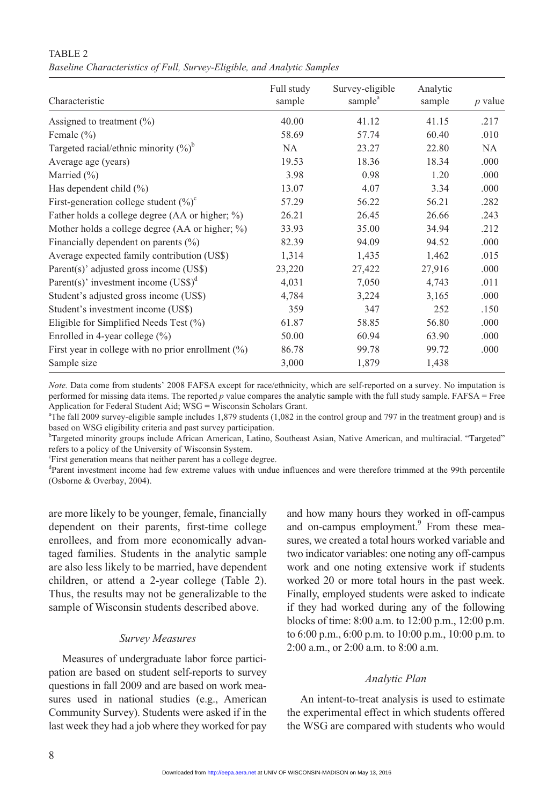### TABLE<sub>2</sub>

*Baseline Characteristics of Full, Survey-Eligible, and Analytic Samples*

| Characteristic                                        | Full study<br>sample | Survey-eligible<br>sample <sup>a</sup> | Analytic<br>sample | $p$ value |
|-------------------------------------------------------|----------------------|----------------------------------------|--------------------|-----------|
| Assigned to treatment $(\% )$                         | 40.00                | 41.12                                  | 41.15              | .217      |
| Female $(\% )$                                        | 58.69                | 57.74                                  | 60.40              | .010      |
| Targeted racial/ethnic minority $(\%)^b$              | NA.                  | 23.27                                  | 22.80              | NA.       |
| Average age (years)                                   | 19.53                | 18.36                                  | 18.34              | .000      |
| Married $(\% )$                                       | 3.98                 | 0.98                                   | 1.20               | .000      |
| Has dependent child $(\% )$                           | 13.07                | 4.07                                   | 3.34               | .000      |
| First-generation college student $(\%)^c$             | 57.29                | 56.22                                  | 56.21              | .282      |
| Father holds a college degree (AA or higher; $\%$ )   | 26.21                | 26.45                                  | 26.66              | .243      |
| Mother holds a college degree (AA or higher; $\%$ )   | 33.93                | 35.00                                  | 34.94              | .212      |
| Financially dependent on parents $(\% )$              | 82.39                | 94.09                                  | 94.52              | .000      |
| Average expected family contribution (US\$)           | 1,314                | 1,435                                  | 1,462              | .015      |
| Parent(s)' adjusted gross income (US\$)               | 23,220               | 27,422                                 | 27,916             | .000      |
| Parent(s)' investment income $(US\$ )^d               | 4,031                | 7,050                                  | 4,743              | .011      |
| Student's adjusted gross income (US\$)                | 4,784                | 3,224                                  | 3,165              | .000      |
| Student's investment income (US\$)                    | 359                  | 347                                    | 252                | .150      |
| Eligible for Simplified Needs Test $(\%)$             | 61.87                | 58.85                                  | 56.80              | .000      |
| Enrolled in 4-year college $(\% )$                    | 50.00                | 60.94                                  | 63.90              | .000      |
| First year in college with no prior enrollment $(\%)$ | 86.78                | 99.78                                  | 99.72              | .000      |
| Sample size                                           | 3,000                | 1,879                                  | 1,438              |           |

*Note.* Data come from students' 2008 FAFSA except for race/ethnicity, which are self-reported on a survey. No imputation is performed for missing data items. The reported *p* value compares the analytic sample with the full study sample. FAFSA = Free Application for Federal Student Aid; WSG = Wisconsin Scholars Grant.

a The fall 2009 survey-eligible sample includes 1,879 students (1,082 in the control group and 797 in the treatment group) and is based on WSG eligibility criteria and past survey participation.

b Targeted minority groups include African American, Latino, Southeast Asian, Native American, and multiracial. "Targeted" refers to a policy of the University of Wisconsin System.

c First generation means that neither parent has a college degree.

<sup>d</sup>Parent investment income had few extreme values with undue influences and were therefore trimmed at the 99th percentile (Osborne & Overbay, 2004).

are more likely to be younger, female, financially dependent on their parents, first-time college enrollees, and from more economically advantaged families. Students in the analytic sample are also less likely to be married, have dependent children, or attend a 2-year college (Table 2). Thus, the results may not be generalizable to the sample of Wisconsin students described above.

# *Survey Measures*

Measures of undergraduate labor force participation are based on student self-reports to survey questions in fall 2009 and are based on work measures used in national studies (e.g., American Community Survey). Students were asked if in the last week they had a job where they worked for pay

and how many hours they worked in off-campus and on-campus employment.<sup>9</sup> From these measures, we created a total hours worked variable and two indicator variables: one noting any off-campus work and one noting extensive work if students worked 20 or more total hours in the past week. Finally, employed students were asked to indicate if they had worked during any of the following blocks of time: 8:00 a.m. to 12:00 p.m., 12:00 p.m. to 6:00 p.m., 6:00 p.m. to 10:00 p.m., 10:00 p.m. to 2:00 a.m., or 2:00 a.m. to 8:00 a.m.

# *Analytic Plan*

An intent-to-treat analysis is used to estimate the experimental effect in which students offered the WSG are compared with students who would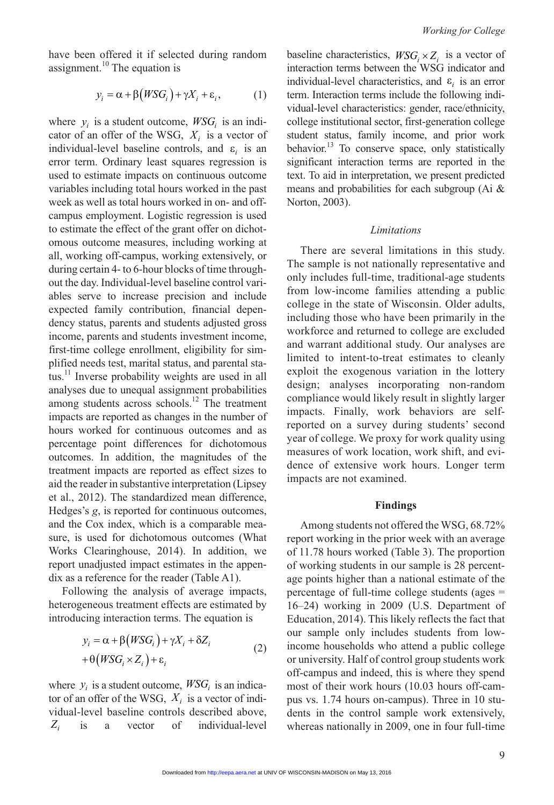have been offered it if selected during random assignment. $^{10}$  The equation is

$$
y_i = \alpha + \beta \big(WSG_i\big) + \gamma X_i + \varepsilon_i,\tag{1}
$$

where  $y_i$  is a student outcome,  $WSG_i$  is an indicator of an offer of the WSG,  $X_i$  is a vector of individual-level baseline controls, and  $\varepsilon_i$  is an error term. Ordinary least squares regression is used to estimate impacts on continuous outcome variables including total hours worked in the past week as well as total hours worked in on- and offcampus employment. Logistic regression is used to estimate the effect of the grant offer on dichotomous outcome measures, including working at all, working off-campus, working extensively, or during certain 4- to 6-hour blocks of time throughout the day. Individual-level baseline control variables serve to increase precision and include expected family contribution, financial dependency status, parents and students adjusted gross income, parents and students investment income, first-time college enrollment, eligibility for simplified needs test, marital status, and parental status.<sup>11</sup> Inverse probability weights are used in all analyses due to unequal assignment probabilities among students across schools.<sup>12</sup> The treatment impacts are reported as changes in the number of hours worked for continuous outcomes and as percentage point differences for dichotomous outcomes. In addition, the magnitudes of the treatment impacts are reported as effect sizes to aid the reader in substantive interpretation (Lipsey et al., 2012). The standardized mean difference, Hedges's *g*, is reported for continuous outcomes, and the Cox index, which is a comparable measure, is used for dichotomous outcomes (What Works Clearinghouse, 2014). In addition, we report unadjusted impact estimates in the appendix as a reference for the reader (Table A1).

Following the analysis of average impacts, heterogeneous treatment effects are estimated by introducing interaction terms. The equation is

$$
y_i = \alpha + \beta (WSG_i) + \gamma X_i + \delta Z_i
$$
  
+ 
$$
\theta (WSG_i \times Z_i) + \varepsilon_i
$$
 (2)

where  $y_i$  is a student outcome,  $WSG_i$  is an indicator of an offer of the WSG,  $X_i$  is a vector of individual-level baseline controls described above, *Zi* is a vector of individual-level baseline characteristics,  $WSG_i \times Z_i$  is a vector of interaction terms between the WSG indicator and individual-level characteristics, and  $\varepsilon_i$  is an error term. Interaction terms include the following individual-level characteristics: gender, race/ethnicity, college institutional sector, first-generation college student status, family income, and prior work behavior.<sup>13</sup> To conserve space, only statistically significant interaction terms are reported in the text. To aid in interpretation, we present predicted means and probabilities for each subgroup (Ai & Norton, 2003).

#### *Limitations*

There are several limitations in this study. The sample is not nationally representative and only includes full-time, traditional-age students from low-income families attending a public college in the state of Wisconsin. Older adults, including those who have been primarily in the workforce and returned to college are excluded and warrant additional study. Our analyses are limited to intent-to-treat estimates to cleanly exploit the exogenous variation in the lottery design; analyses incorporating non-random compliance would likely result in slightly larger impacts. Finally, work behaviors are selfreported on a survey during students' second year of college. We proxy for work quality using measures of work location, work shift, and evidence of extensive work hours. Longer term impacts are not examined.

#### **Findings**

Among students not offered the WSG, 68.72% report working in the prior week with an average of 11.78 hours worked (Table 3). The proportion of working students in our sample is 28 percentage points higher than a national estimate of the percentage of full-time college students (ages = 16–24) working in 2009 (U.S. Department of Education, 2014). This likely reflects the fact that our sample only includes students from lowincome households who attend a public college or university. Half of control group students work off-campus and indeed, this is where they spend most of their work hours (10.03 hours off-campus vs. 1.74 hours on-campus). Three in 10 students in the control sample work extensively, whereas nationally in 2009, one in four full-time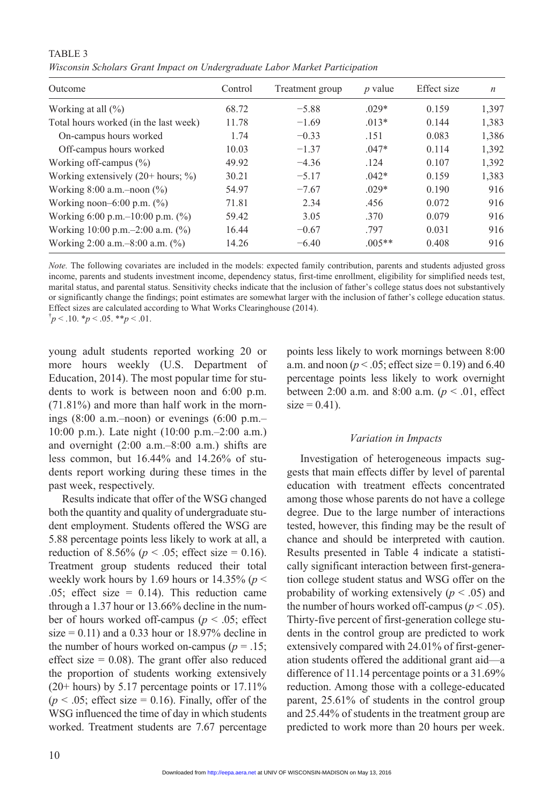| Outcome                                 | Control | Treatment group | $p$ value | Effect size | $\boldsymbol{n}$ |
|-----------------------------------------|---------|-----------------|-----------|-------------|------------------|
| Working at all $(\% )$                  | 68.72   | $-5.88$         | $.029*$   | 0.159       | 1.397            |
| Total hours worked (in the last week)   | 11.78   | $-1.69$         | $.013*$   | 0.144       | 1,383            |
| On-campus hours worked                  | 1.74    | $-0.33$         | .151      | 0.083       | 1,386            |
| Off-campus hours worked                 | 10.03   | $-1.37$         | $.047*$   | 0.114       | 1,392            |
| Working off-campus $(\%)$               | 49.92   | $-4.36$         | .124      | 0.107       | 1,392            |
| Working extensively $(20+)$ hours; %)   | 30.21   | $-5.17$         | $.042*$   | 0.159       | 1,383            |
| Working $8:00$ a.m. -noon $(\%)$        | 54.97   | $-7.67$         | $.029*$   | 0.190       | 916              |
| Working noon-6:00 p.m. $(\%)$           | 71.81   | 2.34            | .456      | 0.072       | 916              |
| Working 6:00 p.m. $-10:00$ p.m. $(\% )$ | 59.42   | 3.05            | .370      | 0.079       | 916              |
| Working 10:00 p.m. $-2:00$ a.m. $(\%)$  | 16.44   | $-0.67$         | .797      | 0.031       | 916              |
| Working 2:00 a.m. $-8:00$ a.m. $(\%$ )  | 14.26   | $-6.40$         | $.005**$  | 0.408       | 916              |

TABLE<sub>3</sub> *Wisconsin Scholars Grant Impact on Undergraduate Labor Market Participation*

*Note.* The following covariates are included in the models: expected family contribution, parents and students adjusted gross income, parents and students investment income, dependency status, first-time enrollment, eligibility for simplified needs test, marital status, and parental status. Sensitivity checks indicate that the inclusion of father's college status does not substantively or significantly change the findings; point estimates are somewhat larger with the inclusion of father's college education status. Effect sizes are calculated according to What Works Clearinghouse (2014).  $\phi$  < .10.  $\phi$  < .05. \*\**p* < .01.

young adult students reported working 20 or more hours weekly (U.S. Department of Education, 2014). The most popular time for students to work is between noon and 6:00 p.m. (71.81%) and more than half work in the mornings  $(8:00 a.m.$ -noon) or evenings  $(6:00 p.m.$ -10:00 p.m.). Late night (10:00 p.m.–2:00 a.m.) and overnight (2:00 a.m.–8:00 a.m.) shifts are less common, but 16.44% and 14.26% of students report working during these times in the

past week, respectively. Results indicate that offer of the WSG changed both the quantity and quality of undergraduate student employment. Students offered the WSG are 5.88 percentage points less likely to work at all, a reduction of 8.56% ( $p < .05$ ; effect size = 0.16). Treatment group students reduced their total weekly work hours by 1.69 hours or 14.35% ( $p$  < .05; effect size  $= 0.14$ ). This reduction came through a 1.37 hour or 13.66% decline in the number of hours worked off-campus (*p* < .05; effect size =  $0.11$ ) and a 0.33 hour or 18.97% decline in the number of hours worked on-campus ( $p = .15$ ; effect size  $= 0.08$ ). The grant offer also reduced the proportion of students working extensively (20+ hours) by 5.17 percentage points or 17.11%  $(p < .05$ ; effect size = 0.16). Finally, offer of the WSG influenced the time of day in which students worked. Treatment students are 7.67 percentage points less likely to work mornings between 8:00 a.m. and noon ( $p < .05$ ; effect size = 0.19) and 6.40 percentage points less likely to work overnight between 2:00 a.m. and 8:00 a.m. ( $p < .01$ , effect  $size = 0.41$ ).

# *Variation in Impacts*

Investigation of heterogeneous impacts suggests that main effects differ by level of parental education with treatment effects concentrated among those whose parents do not have a college degree. Due to the large number of interactions tested, however, this finding may be the result of chance and should be interpreted with caution. Results presented in Table 4 indicate a statistically significant interaction between first-generation college student status and WSG offer on the probability of working extensively  $(p < .05)$  and the number of hours worked off-campus ( $p < .05$ ). Thirty-five percent of first-generation college students in the control group are predicted to work extensively compared with 24.01% of first-generation students offered the additional grant aid—a difference of 11.14 percentage points or a 31.69% reduction. Among those with a college-educated parent, 25.61% of students in the control group and 25.44% of students in the treatment group are predicted to work more than 20 hours per week.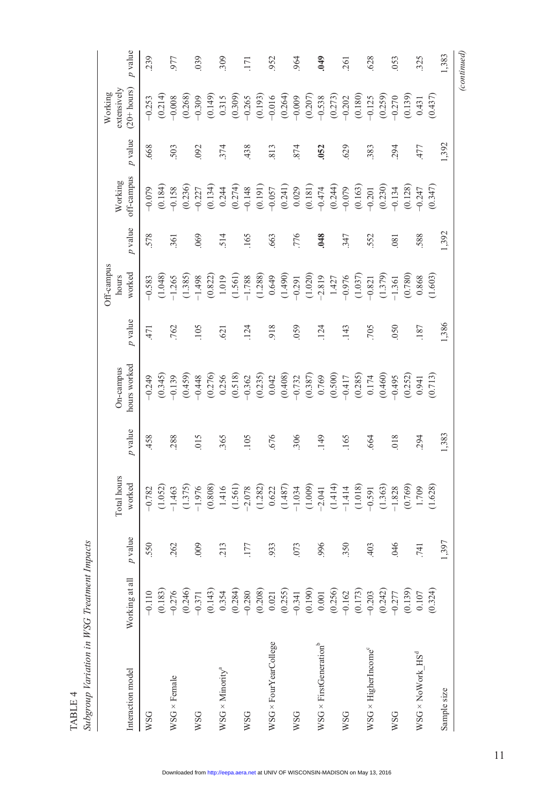|                                    |                                                                                                                                                                                                     |                        |                       |           |                           |           | Off-campus      |           |                       |           | Working                       |             |
|------------------------------------|-----------------------------------------------------------------------------------------------------------------------------------------------------------------------------------------------------|------------------------|-----------------------|-----------|---------------------------|-----------|-----------------|-----------|-----------------------|-----------|-------------------------------|-------------|
| Interaction model                  | Working at all                                                                                                                                                                                      | $\boldsymbol{p}$ value | Total hours<br>worked | $p$ value | hours worked<br>On-campus | $p$ value | worked<br>hours | $p$ value | off-campus<br>Working | $p$ value | extensively<br>$(20 + hours)$ | $p$ value   |
| WSG                                | $-0.110$                                                                                                                                                                                            | 550                    | $-0.782$              | 458       | $-0.249$                  | 471       | $-0.583$        | 578       | $-0.079$              | 668       | $-0.253$                      | 239         |
|                                    | (0.183)                                                                                                                                                                                             |                        | (1.052)               |           | (0.345)                   |           | (1.048)         |           | (0.184)               |           | (0.214)                       |             |
| $WSG \times Female$                | $-0.276$                                                                                                                                                                                            | 262                    | $-1.463$              | .288      | $-0.139$                  | 762       | $-1.265$        | 361       | $-0.158$              | 503       | $-0.008$                      | 977         |
|                                    |                                                                                                                                                                                                     |                        | (1.375)               |           | (0.459)                   |           | (1.385)         |           | (0.236)               |           | (0.268)                       |             |
| <b>WSG</b>                         | $(0.246)$<br>-0.371                                                                                                                                                                                 | 009                    | $-1.976$              | 015       | $-0.448$                  | 105       | $-1.498$        | 069       | $-0.227$              | 092       | $-0.309$                      | 039         |
|                                    |                                                                                                                                                                                                     |                        | (0.808)               |           | (0.276)                   |           | (0.822)         |           | (0.134)               |           | (0.149)                       |             |
| $WSG \times$ Minority <sup>a</sup> |                                                                                                                                                                                                     | .213                   | 1.416                 | 365       | 0.256                     | .621      | 1.019           | 514       | 0.244                 | 374       | 0.315                         | 309         |
|                                    | $(0.143)\n0.354\n0.280\n0.290\n0.291\n0.291\n0.291\n0.291\n0.292\n0.293\n0.291\n0.293\n0.291\n0.291\n0.291\n0.292\n0.293\n0.293\n0.295\n0.297\n0.293\n0.295\n0.297\n0.298\n0.299\n0.299\n0.299\n0.$ |                        | (1.561)               |           | (0.518)                   |           | (1.561)         |           | (0.274)               |           | (0.309)                       |             |
| WSG                                |                                                                                                                                                                                                     | .177                   | $-2.078$              | 105       | $-0.362$                  | .124      | $-1.788$        | 165       | $-0.148$              | 438       | $-0.265$                      | 171         |
|                                    |                                                                                                                                                                                                     |                        | (1.282)               |           | (0.235)                   |           | (1.288)         |           | (0.191)               |           | (0.193)                       |             |
| WSG × FourYearCollege              |                                                                                                                                                                                                     | .933                   | 0.622                 | .676      | 0.042                     | 918       | 0.649           | 663       | $-0.057$              | 813       | $-0.016$                      | 952         |
|                                    |                                                                                                                                                                                                     |                        | (1.487)               |           | (0.408)                   |           | (1.490)         |           | (0.241)               |           | (0.264)                       |             |
| WSG                                |                                                                                                                                                                                                     | .073                   | $-1.034$              | 306       | $-0.732$                  | 059       | $-0.291$        | .776      | 0.029                 | 874       | $-0.009$                      | 964         |
|                                    |                                                                                                                                                                                                     |                        | (1.009)               |           | (0.387)                   |           | (1.020)         |           | (0.181)               |           | (0.207)                       |             |
| $WSG \times FirstGenerationb$      |                                                                                                                                                                                                     | 996                    | $-2.041$              | 149       | 0.769                     | .124      | $-2.819$        | 048       | $-0.474$              | 052       | $-0.538$                      | 649         |
|                                    |                                                                                                                                                                                                     |                        | (1.414)               |           | (0.500)                   |           | 1.427           |           | (0.244)               |           | (0.273)                       |             |
| <b>WSG</b>                         |                                                                                                                                                                                                     | .350                   | $-1.414$              | .165      | $-0.417$                  | 143       | $-0.976$        | 347       | $-0.079$              | .629      | $-0.202$                      | 261         |
|                                    |                                                                                                                                                                                                     |                        | (1.018)               |           | (0.285)                   |           | (1.037)         |           | (0.163)               |           | (0.180)                       |             |
| $WSG \times HigherIncome^c$        |                                                                                                                                                                                                     | .403                   | $-0.591$              | 664       | $0.174$                   | .705      | $-0.821$        | 552       | $-0.201$              | 383       | $-0.125$                      | 628         |
|                                    |                                                                                                                                                                                                     |                        | (1.363)               |           | (0.460)                   |           | (1.379)         |           | (0.230)               |           | (0.259)                       |             |
| WSG                                |                                                                                                                                                                                                     | .046                   | $-1.828$              | 018       | $-0.495$                  | 050       | $-1.361$        | .081      | $-0.134$              | 294       | $-0.270$                      | 053         |
|                                    |                                                                                                                                                                                                     |                        | (0.769)               |           | (0.252)                   |           | (0.780)         |           | (0.128)               |           | (0.139)                       |             |
| $WSG \times Now$ ork $HSS^d$       |                                                                                                                                                                                                     | .741                   | 1.709                 | 294       | 0.941                     | .187      | 0.868           | 588       | $-0.247$              | 477       | 0.431                         | 325         |
|                                    | (0.324)                                                                                                                                                                                             |                        | (1.628)               |           | (0.713)                   |           | (1.603)         |           | (0.347)               |           | (0.437)                       |             |
| Sample size                        |                                                                                                                                                                                                     | 1,397                  |                       | 1,383     |                           | 1,386     |                 | 1,392     |                       | 1,392     |                               | 1,383       |
|                                    |                                                                                                                                                                                                     |                        |                       |           |                           |           |                 |           |                       |           |                               | (continued) |

Table 4

*Subgroup Variation in WSG Treatment Impacts*

TABLE 4<br>Subgroup Variation in WSG Treatment Impacts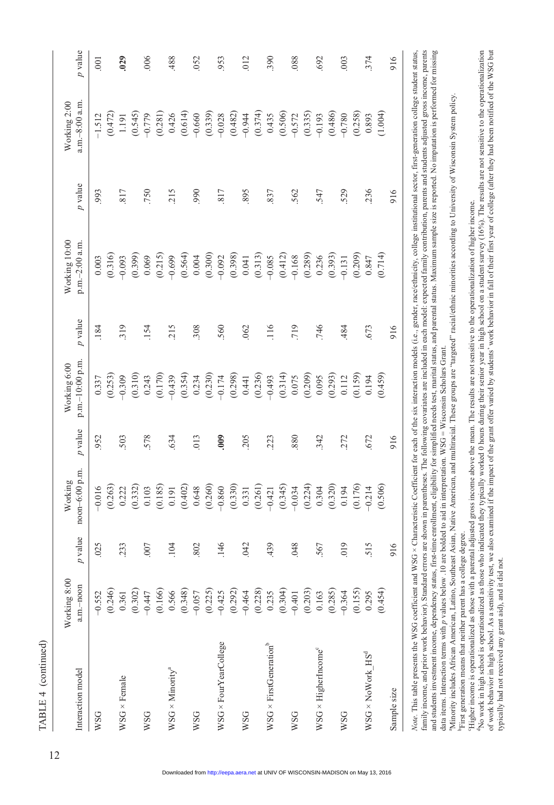| Interaction model                  | Working 8:00<br>a.m.-noon                                                                                                                                                                              | value<br>P | noon-6:00 p.m.<br>Working     | $p$ value | p.m.-10:00 p.m.<br>Working 6:00 | $p$ value | Working 10:00<br>p.m.-2:00 a.m. | $p$ value | a.m.-8:00 a.m.<br>Working 2:00 | $p$ valu       |
|------------------------------------|--------------------------------------------------------------------------------------------------------------------------------------------------------------------------------------------------------|------------|-------------------------------|-----------|---------------------------------|-----------|---------------------------------|-----------|--------------------------------|----------------|
| <b>WSG</b>                         | $-0.552$                                                                                                                                                                                               | .025       | $-0.016$                      | 952       | 0.337                           | .184      | 0.003                           | .993      | $-1.512$                       | $\overline{0}$ |
| $WSG \times Female$                | $(0.246)$<br>0.361                                                                                                                                                                                     | 233        | (0.263)<br>0.222              | 503       | (0.253)                         | 319       | (0.316)<br>$-0.093$             | 817       | $(0.472)$<br>1.191             | .029           |
| <b>WSG</b>                         | $(0.302)$<br>$-0.447$<br>$(0.166)$                                                                                                                                                                     | .007       | (0.185)<br>(0.332)<br>$0.103$ | 578       | $(0.310)$<br>0.243<br>(0.170)   | .154      | (0.399)<br>(0.215)<br>0.069     | 750       | (0.281)<br>(0.545)<br>$-0.779$ | .006           |
| $WSG \times$ Minority <sup>a</sup> | $\begin{array}{c} 0.566 \\ (0.348) \\ -0.057 \end{array}$                                                                                                                                              | 104        | (0.402)<br>0.191              | .634      | (0.354)<br>$-0.439$             | 215       | (0.564)<br>$-0.699$             | 215       | 0.426                          | .488           |
| <b>WSG</b>                         |                                                                                                                                                                                                        | .802       | (0.260)<br>0.648              | 013       | 0.234                           | 308       | (0.300)<br>0.004                | 990       | (0.614)<br>(0.339)             | .052           |
| WSG × FourYearCollege              |                                                                                                                                                                                                        | 146        | (0.330)<br>$-0.860$           | 000       | $(0.230)$<br>$-0.174$           | 560       | (0.398)<br>$-0.092$             | 817       | $-0.028$                       | .953           |
| WSG                                |                                                                                                                                                                                                        | 042        | (0.261)<br>0.331              | 205       | $(0.298)$<br>0.441<br>(0.236)   | 062       | (0.313)<br>0.041                | 895       | $(0.482)$<br>-0.944<br>(0.374) | $-012$         |
| $WSG \times FirstGeneratorb$       |                                                                                                                                                                                                        | 439        | (0.345)<br>$-0.421$           | .223      | (0.314)<br>$-0.493$             | 116       | (0.412)<br>$-0.085$             | 837       | 0.435                          | .390           |
| WSG                                | $(0.225) \n9.292\n10.292\n10.293\n10.293\n10.293\n10.293\n10.293\n10.293\n10.293\n10.293\n10.293\n10.293\n10.293\n10.293\n10.293\n10.293\n10.293\n10.293\n10.293\n10.293\n10.293\n10.293\n10.293\n10.$ | .048       | (0.224)<br>$-0.034$           | .880      | (0.209)<br>0.075                | 719       | (0.289)<br>$-0.168$             | 562       | $(0.506)$<br>-0.572<br>(0.335) | .088           |
| WSG × HigherIncome®                |                                                                                                                                                                                                        | 567        | (0.320)<br>0.304              | 342       | (0.293)<br>0.095                | .746      | (0.393)<br>0.236                | 547       | (0.486)<br>$-0.193$            | .692           |
| <b>WSG</b>                         | $(0.285)$<br>$-0.364$                                                                                                                                                                                  | 019        | (0.176)<br>0.194              | .272      | (0.159)<br>0.112                | 484       | (0.209)<br>$-0.131$             | 529       | (0.258)<br>$-0.780$            | .003           |
| $WSG \times Now$ ork $HSd$         | $(0.155)$<br>0.295<br>(0.454)                                                                                                                                                                          | 515        | (0.506)<br>$-0.214$           | .672      | (0.459)<br>0.194                | .673      | (0.714)<br>0.847                | 236       | (1.004)<br>0.893               | .374           |
| Sample size                        |                                                                                                                                                                                                        | 916        |                               | 916       |                                 | 916       |                                 | 916       |                                | 916            |

Note. This table presents the WSG coefficient and WSG × Characteristic Coefficient for each of the six interaction models (i.e., gender, race/ethnicity, college institutional sector, first-generation college student status Note. This table presents the WSG coefficient and WSG × Characteristic Coefficient for each of the six interaction models (i.e., gender, race/edmicity, college institutional sector, first-generation college student status, family income, and prior work behavior). Standard errors are shown in parentheses. The following covariates are included in each model: expected family contribution, parents and students adjusted gross income, parents family income, and prior work behavior). Standard errors are shown in parentheses. The following covariates are included in each model: expected family contribution, parents and students adjusted gross income, parents and students investment income, dependency status, first-time enrollment, eligibility for simplified needs test, marital status, and parental status. Maximum sample size is reported. No imputation is performed for missing and students investment income, dependency status, first-time enrollment, eligibility for simplified needs test, marital status, and parental status. Maximum sample size is reported. No imputation is performed for missing data items. Interaction terms with p values below .10 are bolded to aid in interpretation. WSG = Wisconsin Scholars Grant.

 $\overline{\phantom{a}}$ 

"Minority includes African American, Latino, Southeast Asian, Native American, and multiracial. These groups are "targeted" racial/ethnic minorities according to University of Wisconsin System policy. data items. Interaction terms with p values below .10 are bolded to aid in interpretation. WSG = Wisconsin Scholars Grant.<br>"Minority includes African American, Latino, Southeast Asian, Native American, and multiracial. The First generation means that neither parent has a college degree.

Higher income is operationalized as those with a parental adjusted gross income above the mean. The results are not sensitive to the operationalization of higher income.

"Higher income is operationalized as those with a parental adjusted gross income above the mean. The results are not sensitive to the operationalization of higher income.<br>"No work in high school is operationalized as those No work in high school is operationalized as those who indicated they typically worked 0 hours during their senior year in high school on a student survey (16%). The results are not sensitive to the operationalization

of work behavior in high school. As a sensitivity test, we also examined if the impact of the grant offer varied by students' work behavior in fall of their first year of college (after they had been notified of the WSG bu of work behavior in high school. As a sensitivity test, we also examined if the impact of the grant offer varied by students' work behavior in fall of their first year of college (after they had been notified of the WSG bu typically had not received any grant aid), and it did not. typically had not received any grant aid), and it did not.

TABLE 4 (continued)

able 4 (continued)

 $p$  is  $p$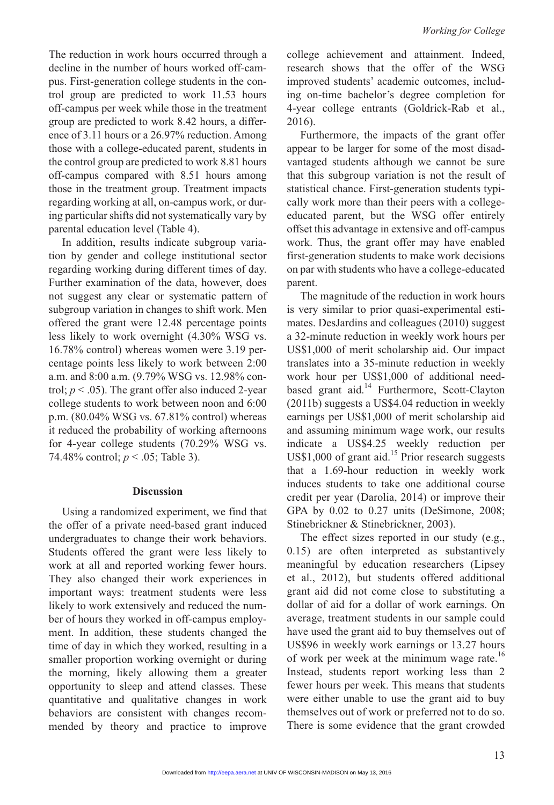The reduction in work hours occurred through a decline in the number of hours worked off-campus. First-generation college students in the control group are predicted to work 11.53 hours off-campus per week while those in the treatment group are predicted to work 8.42 hours, a difference of 3.11 hours or a 26.97% reduction. Among those with a college-educated parent, students in the control group are predicted to work 8.81 hours off-campus compared with 8.51 hours among those in the treatment group. Treatment impacts regarding working at all, on-campus work, or during particular shifts did not systematically vary by parental education level (Table 4).

In addition, results indicate subgroup variation by gender and college institutional sector regarding working during different times of day. Further examination of the data, however, does not suggest any clear or systematic pattern of subgroup variation in changes to shift work. Men offered the grant were 12.48 percentage points less likely to work overnight (4.30% WSG vs. 16.78% control) whereas women were 3.19 percentage points less likely to work between 2:00 a.m. and 8:00 a.m. (9.79% WSG vs. 12.98% control;  $p < .05$ ). The grant offer also induced 2-year college students to work between noon and 6:00 p.m. (80.04% WSG vs. 67.81% control) whereas it reduced the probability of working afternoons for 4-year college students (70.29% WSG vs. 74.48% control; *p* < .05; Table 3).

# **Discussion**

Using a randomized experiment, we find that the offer of a private need-based grant induced undergraduates to change their work behaviors. Students offered the grant were less likely to work at all and reported working fewer hours. They also changed their work experiences in important ways: treatment students were less likely to work extensively and reduced the number of hours they worked in off-campus employment. In addition, these students changed the time of day in which they worked, resulting in a smaller proportion working overnight or during the morning, likely allowing them a greater opportunity to sleep and attend classes. These quantitative and qualitative changes in work behaviors are consistent with changes recommended by theory and practice to improve

college achievement and attainment. Indeed, research shows that the offer of the WSG improved students' academic outcomes, including on-time bachelor's degree completion for 4-year college entrants (Goldrick-Rab et al., 2016).

Furthermore, the impacts of the grant offer appear to be larger for some of the most disadvantaged students although we cannot be sure that this subgroup variation is not the result of statistical chance. First-generation students typically work more than their peers with a collegeeducated parent, but the WSG offer entirely offset this advantage in extensive and off-campus work. Thus, the grant offer may have enabled first-generation students to make work decisions on par with students who have a college-educated parent.

The magnitude of the reduction in work hours is very similar to prior quasi-experimental estimates. DesJardins and colleagues (2010) suggest a 32-minute reduction in weekly work hours per US\$1,000 of merit scholarship aid. Our impact translates into a 35-minute reduction in weekly work hour per US\$1,000 of additional needbased grant aid.<sup>14</sup> Furthermore, Scott-Clayton (2011b) suggests a US\$4.04 reduction in weekly earnings per US\$1,000 of merit scholarship aid and assuming minimum wage work, our results indicate a US\$4.25 weekly reduction per US\$1,000 of grant aid.<sup>15</sup> Prior research suggests that a 1.69-hour reduction in weekly work induces students to take one additional course credit per year (Darolia, 2014) or improve their GPA by 0.02 to 0.27 units (DeSimone, 2008; Stinebrickner & Stinebrickner, 2003).

The effect sizes reported in our study (e.g., 0.15) are often interpreted as substantively meaningful by education researchers (Lipsey et al., 2012), but students offered additional grant aid did not come close to substituting a dollar of aid for a dollar of work earnings. On average, treatment students in our sample could have used the grant aid to buy themselves out of US\$96 in weekly work earnings or 13.27 hours of work per week at the minimum wage rate.<sup>16</sup> Instead, students report working less than 2 fewer hours per week. This means that students were either unable to use the grant aid to buy themselves out of work or preferred not to do so. There is some evidence that the grant crowded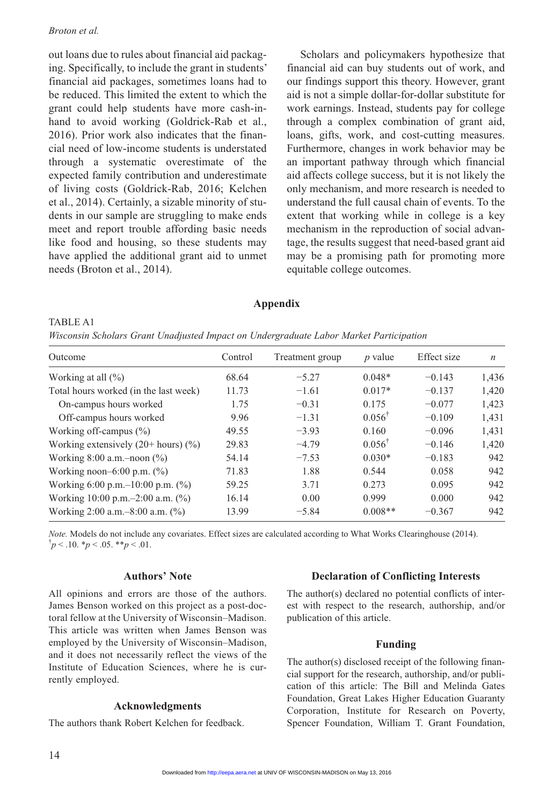### *Broton et al.*

out loans due to rules about financial aid packaging. Specifically, to include the grant in students' financial aid packages, sometimes loans had to be reduced. This limited the extent to which the grant could help students have more cash-inhand to avoid working (Goldrick-Rab et al., 2016). Prior work also indicates that the financial need of low-income students is understated through a systematic overestimate of the expected family contribution and underestimate of living costs (Goldrick-Rab, 2016; Kelchen et al., 2014). Certainly, a sizable minority of students in our sample are struggling to make ends meet and report trouble affording basic needs like food and housing, so these students may have applied the additional grant aid to unmet needs (Broton et al., 2014).

Scholars and policymakers hypothesize that financial aid can buy students out of work, and our findings support this theory. However, grant aid is not a simple dollar-for-dollar substitute for work earnings. Instead, students pay for college through a complex combination of grant aid, loans, gifts, work, and cost-cutting measures. Furthermore, changes in work behavior may be an important pathway through which financial aid affects college success, but it is not likely the only mechanism, and more research is needed to understand the full causal chain of events. To the extent that working while in college is a key mechanism in the reproduction of social advantage, the results suggest that need-based grant aid may be a promising path for promoting more equitable college outcomes.

# **Appendix**

| TABLE A1                                                                               |  |  |  |  |
|----------------------------------------------------------------------------------------|--|--|--|--|
| Wisconsin Scholars Grant Unadjusted Impact on Undergraduate Labor Market Participation |  |  |  |  |

| Outcome                                       | Control | Treatment group | $p$ value         | Effect size | $\boldsymbol{n}$ |
|-----------------------------------------------|---------|-----------------|-------------------|-------------|------------------|
| Working at all $(\% )$                        | 68.64   | $-5.27$         | $0.048*$          | $-0.143$    | 1,436            |
| Total hours worked (in the last week)         | 11.73   | $-1.61$         | $0.017*$          | $-0.137$    | 1,420            |
| On-campus hours worked                        | 1.75    | $-0.31$         | 0.175             | $-0.077$    | 1,423            |
| Off-campus hours worked                       | 9.96    | $-1.31$         | $0.056^{\dagger}$ | $-0.109$    | 1,431            |
| Working off-campus $(\%)$                     | 49.55   | $-3.93$         | 0.160             | $-0.096$    | 1,431            |
| Working extensively $(20 + \text{hours})$ (%) | 29.83   | $-4.79$         | $0.056^{\dagger}$ | $-0.146$    | 1,420            |
| Working $8:00$ a.m.-noon $(\%)$               | 54.14   | $-7.53$         | $0.030*$          | $-0.183$    | 942              |
| Working noon-6:00 p.m. $(\%)$                 | 71.83   | 1.88            | 0.544             | 0.058       | 942              |
| Working 6:00 p.m. $-10:00$ p.m. $(\% )$       | 59.25   | 3.71            | 0.273             | 0.095       | 942              |
| Working 10:00 p.m. $-2:00$ a.m. $(\%)$        | 16.14   | 0.00            | 0.999             | 0.000       | 942              |
| Working 2:00 a.m. $-8:00$ a.m. $(\%)$         | 13.99   | $-5.84$         | $0.008**$         | $-0.367$    | 942              |

*Note.* Models do not include any covariates. Effect sizes are calculated according to What Works Clearinghouse (2014).  $\phi$ <sup>†</sup> $p$  < .10. \* $p$  < .05. \*\* $p$  < .01.

# **Authors' Note**

All opinions and errors are those of the authors. James Benson worked on this project as a post-doctoral fellow at the University of Wisconsin–Madison. This article was written when James Benson was employed by the University of Wisconsin–Madison, and it does not necessarily reflect the views of the Institute of Education Sciences, where he is currently employed.

# **Acknowledgments**

The authors thank Robert Kelchen for feedback.

# **Declaration of Conflicting Interests**

The author(s) declared no potential conflicts of interest with respect to the research, authorship, and/or publication of this article.

# **Funding**

The author(s) disclosed receipt of the following financial support for the research, authorship, and/or publication of this article: The Bill and Melinda Gates Foundation, Great Lakes Higher Education Guaranty Corporation, Institute for Research on Poverty, Spencer Foundation, William T. Grant Foundation,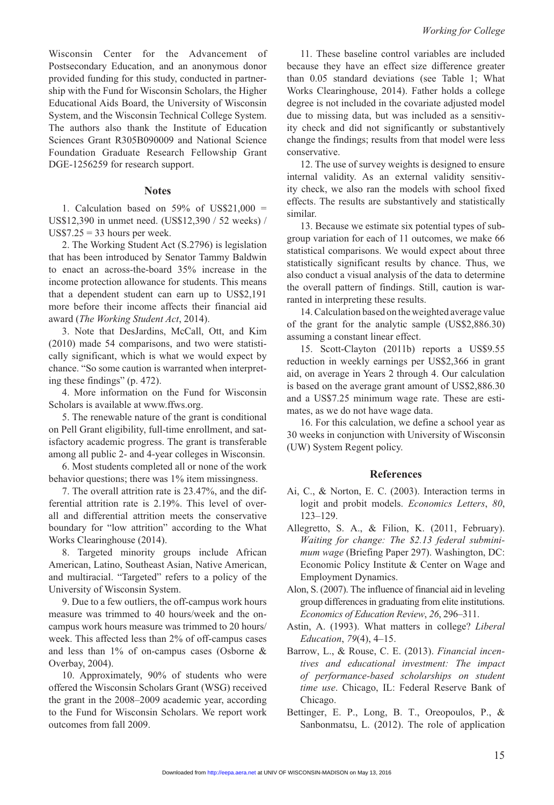Wisconsin Center for the Advancement of Postsecondary Education, and an anonymous donor provided funding for this study, conducted in partnership with the Fund for Wisconsin Scholars, the Higher Educational Aids Board, the University of Wisconsin System, and the Wisconsin Technical College System. The authors also thank the Institute of Education Sciences Grant R305B090009 and National Science Foundation Graduate Research Fellowship Grant DGE-1256259 for research support.

### **Notes**

1. Calculation based on  $59\%$  of US\$21,000 = US\$12,390 in unmet need. (US\$12,390 / 52 weeks) /  $US$7.25 = 33$  hours per week.

2. The Working Student Act (S.2796) is legislation that has been introduced by Senator Tammy Baldwin to enact an across-the-board 35% increase in the income protection allowance for students. This means that a dependent student can earn up to US\$2,191 more before their income affects their financial aid award (*The Working Student Act*, 2014).

3. Note that DesJardins, McCall, Ott, and Kim (2010) made 54 comparisons, and two were statistically significant, which is what we would expect by chance. "So some caution is warranted when interpreting these findings" (p. 472).

4. More information on the Fund for Wisconsin Scholars is available at [www.ffws.org.](www.ffws.org)

5. The renewable nature of the grant is conditional on Pell Grant eligibility, full-time enrollment, and satisfactory academic progress. The grant is transferable among all public 2- and 4-year colleges in Wisconsin.

6. Most students completed all or none of the work behavior questions; there was 1% item missingness.

7. The overall attrition rate is 23.47%, and the differential attrition rate is 2.19%. This level of overall and differential attrition meets the conservative boundary for "low attrition" according to the What Works Clearinghouse (2014).

8. Targeted minority groups include African American, Latino, Southeast Asian, Native American, and multiracial. "Targeted" refers to a policy of the University of Wisconsin System.

9. Due to a few outliers, the off-campus work hours measure was trimmed to 40 hours/week and the oncampus work hours measure was trimmed to 20 hours/ week. This affected less than 2% of off-campus cases and less than 1% of on-campus cases (Osborne & Overbay, 2004).

10. Approximately, 90% of students who were offered the Wisconsin Scholars Grant (WSG) received the grant in the 2008–2009 academic year, according to the Fund for Wisconsin Scholars. We report work outcomes from fall 2009.

11. These baseline control variables are included because they have an effect size difference greater than 0.05 standard deviations (see Table 1; What Works Clearinghouse, 2014). Father holds a college degree is not included in the covariate adjusted model due to missing data, but was included as a sensitivity check and did not significantly or substantively change the findings; results from that model were less conservative.

12. The use of survey weights is designed to ensure internal validity. As an external validity sensitivity check, we also ran the models with school fixed effects. The results are substantively and statistically similar.

13. Because we estimate six potential types of subgroup variation for each of 11 outcomes, we make 66 statistical comparisons. We would expect about three statistically significant results by chance. Thus, we also conduct a visual analysis of the data to determine the overall pattern of findings. Still, caution is warranted in interpreting these results.

14. Calculation based on the weighted average value of the grant for the analytic sample (US\$2,886.30) assuming a constant linear effect.

15. Scott-Clayton (2011b) reports a US\$9.55 reduction in weekly earnings per US\$2,366 in grant aid, on average in Years 2 through 4. Our calculation is based on the average grant amount of US\$2,886.30 and a US\$7.25 minimum wage rate. These are estimates, as we do not have wage data.

16. For this calculation, we define a school year as 30 weeks in conjunction with University of Wisconsin (UW) System Regent policy.

#### **References**

- Ai, C., & Norton, E. C. (2003). Interaction terms in logit and probit models. *Economics Letters*, *80*, 123–129.
- Allegretto, S. A., & Filion, K. (2011, February). *Waiting for change: The \$2.13 federal subminimum wage* (Briefing Paper 297). Washington, DC: Economic Policy Institute & Center on Wage and Employment Dynamics.
- Alon, S. (2007). The influence of financial aid in leveling group differences in graduating from elite institutions. *Economics of Education Review*, *26*, 296–311.
- Astin, A. (1993). What matters in college? *Liberal Education*, *79*(4), 4–15.
- Barrow, L., & Rouse, C. E. (2013). *Financial incentives and educational investment: The impact of performance-based scholarships on student time use*. Chicago, IL: Federal Reserve Bank of Chicago.
- Bettinger, E. P., Long, B. T., Oreopoulos, P., & Sanbonmatsu, L. (2012). The role of application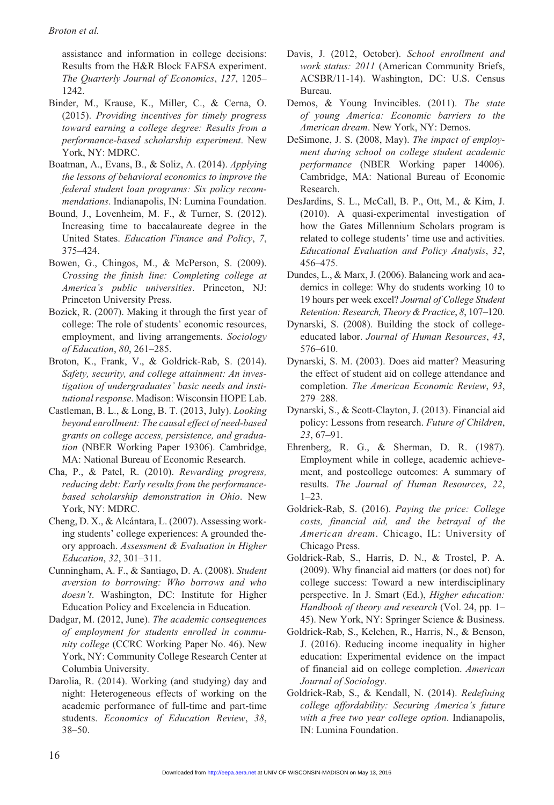assistance and information in college decisions: Results from the H&R Block FAFSA experiment. *The Quarterly Journal of Economics*, *127*, 1205– 1242.

- Binder, M., Krause, K., Miller, C., & Cerna, O. (2015). *Providing incentives for timely progress toward earning a college degree: Results from a performance-based scholarship experiment*. New York, NY: MDRC.
- Boatman, A., Evans, B., & Soliz, A. (2014). *Applying the lessons of behavioral economics to improve the federal student loan programs: Six policy recommendations*. Indianapolis, IN: Lumina Foundation.
- Bound, J., Lovenheim, M. F., & Turner, S. (2012). Increasing time to baccalaureate degree in the United States. *Education Finance and Policy*, *7*, 375–424.
- Bowen, G., Chingos, M., & McPerson, S. (2009). *Crossing the finish line: Completing college at America's public universities*. Princeton, NJ: Princeton University Press.
- Bozick, R. (2007). Making it through the first year of college: The role of students' economic resources, employment, and living arrangements. *Sociology of Education*, *80*, 261–285.
- Broton, K., Frank, V., & Goldrick-Rab, S. (2014). *Safety, security, and college attainment: An investigation of undergraduates' basic needs and institutional response*. Madison: Wisconsin HOPE Lab.
- Castleman, B. L., & Long, B. T. (2013, July). *Looking beyond enrollment: The causal effect of need-based grants on college access, persistence, and graduation* (NBER Working Paper 19306). Cambridge, MA: National Bureau of Economic Research.
- Cha, P., & Patel, R. (2010). *Rewarding progress, reducing debt: Early results from the performancebased scholarship demonstration in Ohio*. New York, NY: MDRC.
- Cheng, D. X., & Alcántara, L. (2007). Assessing working students' college experiences: A grounded theory approach. *Assessment & Evaluation in Higher Education*, *32*, 301–311.
- Cunningham, A. F., & Santiago, D. A. (2008). *Student aversion to borrowing: Who borrows and who doesn't*. Washington, DC: Institute for Higher Education Policy and Excelencia in Education.
- Dadgar, M. (2012, June). *The academic consequences of employment for students enrolled in community college* (CCRC Working Paper No. 46). New York, NY: Community College Research Center at Columbia University.
- Darolia, R. (2014). Working (and studying) day and night: Heterogeneous effects of working on the academic performance of full-time and part-time students. *Economics of Education Review*, *38*, 38–50.
- Davis, J. (2012, October). *School enrollment and work status: 2011* (American Community Briefs, ACSBR/11-14). Washington, DC: U.S. Census Bureau.
- Demos, & Young Invincibles. (2011). *The state of young America: Economic barriers to the American dream*. New York, NY: Demos.
- DeSimone, J. S. (2008, May). *The impact of employment during school on college student academic performance* (NBER Working paper 14006). Cambridge, MA: National Bureau of Economic Research.
- DesJardins, S. L., McCall, B. P., Ott, M., & Kim, J. (2010). A quasi-experimental investigation of how the Gates Millennium Scholars program is related to college students' time use and activities. *Educational Evaluation and Policy Analysis*, *32*, 456–475.
- Dundes, L., & Marx, J. (2006). Balancing work and academics in college: Why do students working 10 to 19 hours per week excel? *Journal of College Student Retention: Research, Theory & Practice*, *8*, 107–120.
- Dynarski, S. (2008). Building the stock of collegeeducated labor. *Journal of Human Resources*, *43*, 576–610.
- Dynarski, S. M. (2003). Does aid matter? Measuring the effect of student aid on college attendance and completion. *The American Economic Review*, *93*, 279–288.
- Dynarski, S., & Scott-Clayton, J. (2013). Financial aid policy: Lessons from research. *Future of Children*, *23*, 67–91.
- Ehrenberg, R. G., & Sherman, D. R. (1987). Employment while in college, academic achievement, and postcollege outcomes: A summary of results. *The Journal of Human Resources*, *22*, 1–23.
- Goldrick-Rab, S. (2016). *Paying the price: College costs, financial aid, and the betrayal of the American dream*. Chicago, IL: University of Chicago Press.
- Goldrick-Rab, S., Harris, D. N., & Trostel, P. A. (2009). Why financial aid matters (or does not) for college success: Toward a new interdisciplinary perspective. In J. Smart (Ed.), *Higher education: Handbook of theory and research* (Vol. 24, pp. 1– 45). New York, NY: Springer Science & Business.
- Goldrick-Rab, S., Kelchen, R., Harris, N., & Benson, J. (2016). Reducing income inequality in higher education: Experimental evidence on the impact of financial aid on college completion. *American Journal of Sociology*.
- Goldrick-Rab, S., & Kendall, N. (2014). *Redefining college affordability: Securing America's future with a free two year college option*. Indianapolis, IN: Lumina Foundation.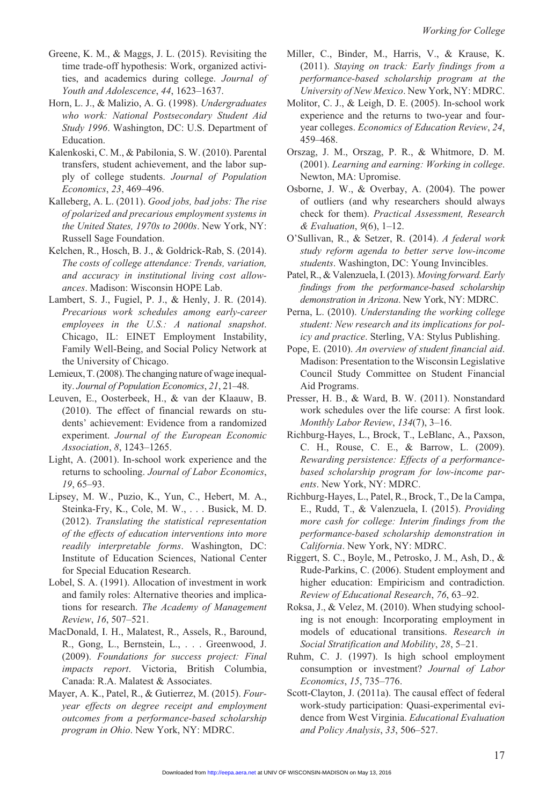- Greene, K. M., & Maggs, J. L. (2015). Revisiting the time trade-off hypothesis: Work, organized activities, and academics during college. *Journal of Youth and Adolescence*, *44*, 1623–1637.
- Horn, L. J., & Malizio, A. G. (1998). *Undergraduates who work: National Postsecondary Student Aid Study 1996*. Washington, DC: U.S. Department of Education.
- Kalenkoski, C. M., & Pabilonia, S. W. (2010). Parental transfers, student achievement, and the labor supply of college students. *Journal of Population Economics*, *23*, 469–496.
- Kalleberg, A. L. (2011). *Good jobs, bad jobs: The rise of polarized and precarious employment systems in the United States, 1970s to 2000s*. New York, NY: Russell Sage Foundation.
- Kelchen, R., Hosch, B. J., & Goldrick-Rab, S. (2014). *The costs of college attendance: Trends, variation, and accuracy in institutional living cost allowances*. Madison: Wisconsin HOPE Lab.
- Lambert, S. J., Fugiel, P. J., & Henly, J. R. (2014). *Precarious work schedules among early-career employees in the U.S.: A national snapshot*. Chicago, IL: EINET Employment Instability, Family Well-Being, and Social Policy Network at the University of Chicago.
- Lemieux, T. (2008). The changing nature of wage inequality. *Journal of Population Economics*, *21*, 21–48.
- Leuven, E., Oosterbeek, H., & van der Klaauw, B. (2010). The effect of financial rewards on students' achievement: Evidence from a randomized experiment. *Journal of the European Economic Association*, *8*, 1243–1265.
- Light, A. (2001). In-school work experience and the returns to schooling. *Journal of Labor Economics*, *19*, 65–93.
- Lipsey, M. W., Puzio, K., Yun, C., Hebert, M. A., Steinka-Fry, K., Cole, M. W., . . . Busick, M. D. (2012). *Translating the statistical representation of the effects of education interventions into more readily interpretable forms*. Washington, DC: Institute of Education Sciences, National Center for Special Education Research.
- Lobel, S. A. (1991). Allocation of investment in work and family roles: Alternative theories and implications for research. *The Academy of Management Review*, *16*, 507–521.
- MacDonald, I. H., Malatest, R., Assels, R., Baround, R., Gong, L., Bernstein, L., . . . Greenwood, J. (2009). *Foundations for success project: Final impacts report*. Victoria, British Columbia, Canada: R.A. Malatest & Associates.
- Mayer, A. K., Patel, R., & Gutierrez, M. (2015). *Fouryear effects on degree receipt and employment outcomes from a performance-based scholarship program in Ohio*. New York, NY: MDRC.
- Miller, C., Binder, M., Harris, V., & Krause, K. (2011). *Staying on track: Early findings from a performance-based scholarship program at the University of New Mexico*. New York, NY: MDRC.
- Molitor, C. J., & Leigh, D. E. (2005). In-school work experience and the returns to two-year and fouryear colleges. *Economics of Education Review*, *24*, 459–468.
- Orszag, J. M., Orszag, P. R., & Whitmore, D. M. (2001). *Learning and earning: Working in college*. Newton, MA: Upromise.
- Osborne, J. W., & Overbay, A. (2004). The power of outliers (and why researchers should always check for them). *Practical Assessment, Research & Evaluation*, *9*(6), 1–12.
- O'Sullivan, R., & Setzer, R. (2014). *A federal work study reform agenda to better serve low-income students*. Washington, DC: Young Invincibles.
- Patel, R., & Valenzuela, I. (2013). *Moving forward. Early findings from the performance-based scholarship demonstration in Arizona*. New York, NY: MDRC.
- Perna, L. (2010). *Understanding the working college student: New research and its implications for policy and practice*. Sterling, VA: Stylus Publishing.
- Pope, E. (2010). *An overview of student financial aid*. Madison: Presentation to the Wisconsin Legislative Council Study Committee on Student Financial Aid Programs.
- Presser, H. B., & Ward, B. W. (2011). Nonstandard work schedules over the life course: A first look. *Monthly Labor Review*, *134*(7), 3–16.
- Richburg-Hayes, L., Brock, T., LeBlanc, A., Paxson, C. H., Rouse, C. E., & Barrow, L. (2009). *Rewarding persistence: Effects of a performancebased scholarship program for low-income parents*. New York, NY: MDRC.
- Richburg-Hayes, L., Patel, R., Brock, T., De la Campa, E., Rudd, T., & Valenzuela, I. (2015). *Providing more cash for college: Interim findings from the performance-based scholarship demonstration in California*. New York, NY: MDRC.
- Riggert, S. C., Boyle, M., Petrosko, J. M., Ash, D., & Rude-Parkins, C. (2006). Student employment and higher education: Empiricism and contradiction. *Review of Educational Research*, *76*, 63–92.
- Roksa, J., & Velez, M. (2010). When studying schooling is not enough: Incorporating employment in models of educational transitions. *Research in Social Stratification and Mobility*, *28*, 5–21.
- Ruhm, C. J. (1997). Is high school employment consumption or investment? *Journal of Labor Economics*, *15*, 735–776.
- Scott-Clayton, J. (2011a). The causal effect of federal work-study participation: Quasi-experimental evidence from West Virginia. *Educational Evaluation and Policy Analysis*, *33*, 506–527.